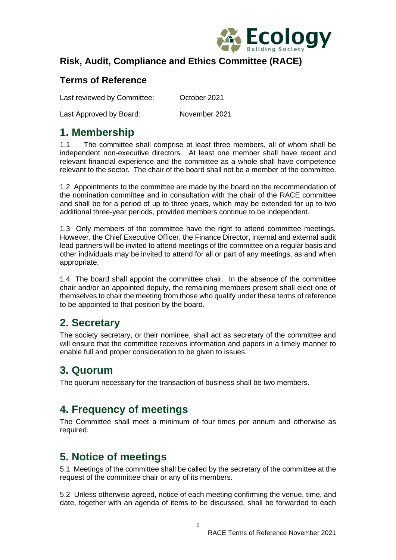

#### **Risk, Audit, Compliance and Ethics Committee (RACE)**

#### **Terms of Reference**

Last reviewed by Committee: October 2021

Last Approved by Board: November 2021

## **1. Membership**

1.1 The committee shall comprise at least three members, all of whom shall be independent non-executive directors. At least one member shall have recent and relevant financial experience and the committee as a whole shall have competence relevant to the sector. The chair of the board shall not be a member of the committee.

1.2 Appointments to the committee are made by the board on the recommendation of the nomination committee and in consultation with the chair of the RACE committee and shall be for a period of up to three years, which may be extended for up to two additional three-year periods, provided members continue to be independent.

1.3 Only members of the committee have the right to attend committee meetings. However, the Chief Executive Officer, the Finance Director, internal and external audit lead partners will be invited to attend meetings of the committee on a regular basis and other individuals may be invited to attend for all or part of any meetings, as and when appropriate.

1.4 The board shall appoint the committee chair. In the absence of the committee chair and/or an appointed deputy, the remaining members present shall elect one of themselves to chair the meeting from those who qualify under these terms of reference to be appointed to that position by the board.

## **2. Secretary**

The society secretary, or their nominee, shall act as secretary of the committee and will ensure that the committee receives information and papers in a timely manner to enable full and proper consideration to be given to issues.

# **3. Quorum**

The quorum necessary for the transaction of business shall be two members.

# **4. Frequency of meetings**

The Committee shall meet a minimum of four times per annum and otherwise as required.

# **5. Notice of meetings**

5.1 Meetings of the committee shall be called by the secretary of the committee at the request of the committee chair or any of its members.

5.2 Unless otherwise agreed, notice of each meeting confirming the venue, time, and date, together with an agenda of items to be discussed, shall be forwarded to each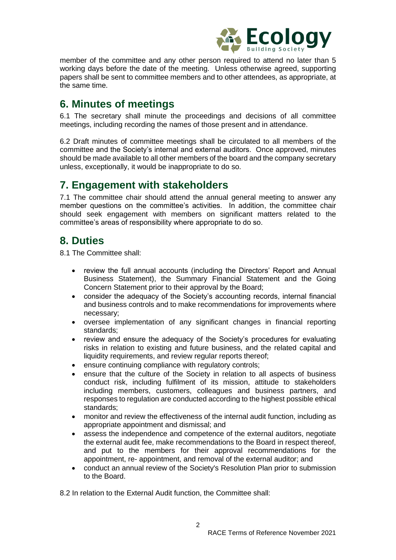

member of the committee and any other person required to attend no later than 5 working days before the date of the meeting. Unless otherwise agreed, supporting papers shall be sent to committee members and to other attendees, as appropriate, at the same time.

### **6. Minutes of meetings**

6.1 The secretary shall minute the proceedings and decisions of all committee meetings, including recording the names of those present and in attendance.

6.2 Draft minutes of committee meetings shall be circulated to all members of the committee and the Society's internal and external auditors. Once approved, minutes should be made available to all other members of the board and the company secretary unless, exceptionally, it would be inappropriate to do so.

### **7. Engagement with stakeholders**

7.1 The committee chair should attend the annual general meeting to answer any member questions on the committee's activities. In addition, the committee chair should seek engagement with members on significant matters related to the committee's areas of responsibility where appropriate to do so.

#### **8. Duties**

8.1 The Committee shall:

- review the full annual accounts (including the Directors' Report and Annual Business Statement), the Summary Financial Statement and the Going Concern Statement prior to their approval by the Board;
- consider the adequacy of the Society's accounting records, internal financial and business controls and to make recommendations for improvements where necessary;
- oversee implementation of any significant changes in financial reporting standards;
- review and ensure the adequacy of the Society's procedures for evaluating risks in relation to existing and future business, and the related capital and liquidity requirements, and review regular reports thereof;
- ensure continuing compliance with regulatory controls;
- ensure that the culture of the Society in relation to all aspects of business conduct risk, including fulfilment of its mission, attitude to stakeholders including members, customers, colleagues and business partners, and responses to regulation are conducted according to the highest possible ethical standards;
- monitor and review the effectiveness of the internal audit function, including as appropriate appointment and dismissal; and
- assess the independence and competence of the external auditors, negotiate the external audit fee, make recommendations to the Board in respect thereof, and put to the members for their approval recommendations for the appointment, re- appointment, and removal of the external auditor; and
- conduct an annual review of the Society's Resolution Plan prior to submission to the Board.

8.2 In relation to the External Audit function, the Committee shall: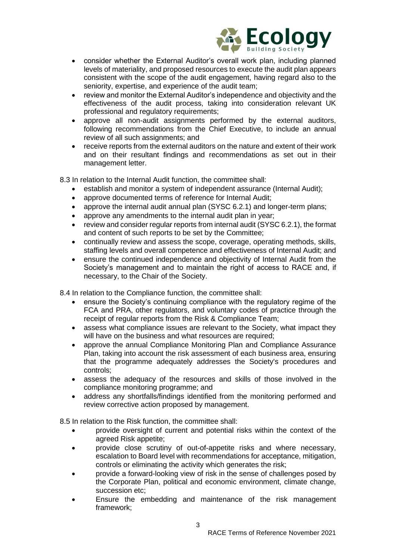

- consider whether the External Auditor's overall work plan, including planned levels of materiality, and proposed resources to execute the audit plan appears consistent with the scope of the audit engagement, having regard also to the seniority, expertise, and experience of the audit team;
- review and monitor the External Auditor's independence and objectivity and the effectiveness of the audit process, taking into consideration relevant UK professional and regulatory requirements;
- approve all non-audit assignments performed by the external auditors, following recommendations from the Chief Executive, to include an annual review of all such assignments; and
- receive reports from the external auditors on the nature and extent of their work and on their resultant findings and recommendations as set out in their management letter.

8.3 In relation to the Internal Audit function, the committee shall:

- establish and monitor a system of independent assurance (Internal Audit);
- approve documented terms of reference for Internal Audit;
- approve the internal audit annual plan (SYSC 6.2.1) and longer-term plans;
- approve any amendments to the internal audit plan in year;
- review and consider regular reports from internal audit (SYSC 6.2.1), the format and content of such reports to be set by the Committee;
- continually review and assess the scope, coverage, operating methods, skills, staffing levels and overall competence and effectiveness of Internal Audit; and
- ensure the continued independence and objectivity of Internal Audit from the Society's management and to maintain the right of access to RACE and, if necessary, to the Chair of the Society.

8.4 In relation to the Compliance function, the committee shall:

- ensure the Society's continuing compliance with the regulatory regime of the FCA and PRA, other regulators, and voluntary codes of practice through the receipt of regular reports from the Risk & Compliance Team;
- assess what compliance issues are relevant to the Society, what impact they will have on the business and what resources are required;
- approve the annual Compliance Monitoring Plan and Compliance Assurance Plan, taking into account the risk assessment of each business area, ensuring that the programme adequately addresses the Society's procedures and controls;
- assess the adequacy of the resources and skills of those involved in the compliance monitoring programme; and
- address any shortfalls/findings identified from the monitoring performed and review corrective action proposed by management.

8.5 In relation to the Risk function, the committee shall:

- provide oversight of current and potential risks within the context of the agreed Risk appetite;
- provide close scrutiny of out-of-appetite risks and where necessary, escalation to Board level with recommendations for acceptance, mitigation, controls or eliminating the activity which generates the risk;
- provide a forward-looking view of risk in the sense of challenges posed by the Corporate Plan, political and economic environment, climate change, succession etc;
- Ensure the embedding and maintenance of the risk management framework;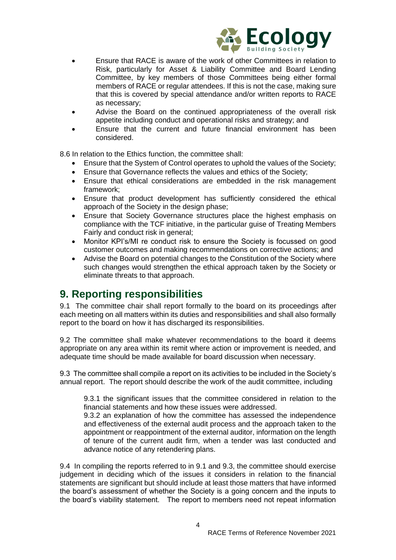

- Ensure that RACE is aware of the work of other Committees in relation to Risk, particularly for Asset & Liability Committee and Board Lending Committee, by key members of those Committees being either formal members of RACE or regular attendees. If this is not the case, making sure that this is covered by special attendance and/or written reports to RACE as necessary;
- Advise the Board on the continued appropriateness of the overall risk appetite including conduct and operational risks and strategy; and
- Ensure that the current and future financial environment has been considered.

8.6 In relation to the Ethics function, the committee shall:

- Ensure that the System of Control operates to uphold the values of the Society;
- Ensure that Governance reflects the values and ethics of the Society;
- Ensure that ethical considerations are embedded in the risk management framework;
- Ensure that product development has sufficiently considered the ethical approach of the Society in the design phase;
- Ensure that Society Governance structures place the highest emphasis on compliance with the TCF initiative, in the particular guise of Treating Members Fairly and conduct risk in general;
- Monitor KPI's/MI re conduct risk to ensure the Society is focussed on good customer outcomes and making recommendations on corrective actions; and
- Advise the Board on potential changes to the Constitution of the Society where such changes would strengthen the ethical approach taken by the Society or eliminate threats to that approach.

#### **9. Reporting responsibilities**

9.1 The committee chair shall report formally to the board on its proceedings after each meeting on all matters within its duties and responsibilities and shall also formally report to the board on how it has discharged its responsibilities.

9.2 The committee shall make whatever recommendations to the board it deems appropriate on any area within its remit where action or improvement is needed, and adequate time should be made available for board discussion when necessary.

9.3 The committee shall compile a report on its activities to be included in the Society's annual report. The report should describe the work of the audit committee, including

9.3.1 the significant issues that the committee considered in relation to the financial statements and how these issues were addressed.

9.3.2 an explanation of how the committee has assessed the independence and effectiveness of the external audit process and the approach taken to the appointment or reappointment of the external auditor, information on the length of tenure of the current audit firm, when a tender was last conducted and advance notice of any retendering plans.

9.4 In compiling the reports referred to in 9.1 and 9.3, the committee should exercise judgement in deciding which of the issues it considers in relation to the financial statements are significant but should include at least those matters that have informed the board's assessment of whether the Society is a going concern and the inputs to the board's viability statement. The report to members need not repeat information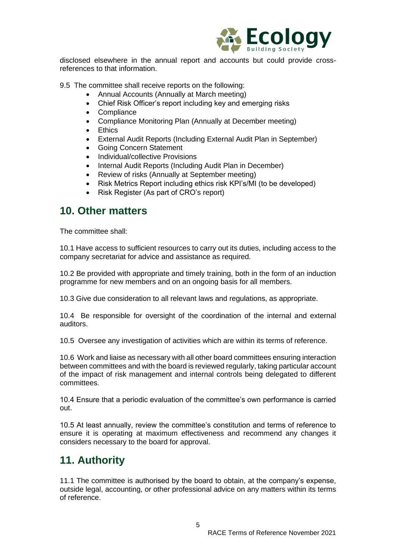

disclosed elsewhere in the annual report and accounts but could provide crossreferences to that information.

9.5 The committee shall receive reports on the following:

- Annual Accounts (Annually at March meeting)
- Chief Risk Officer's report including key and emerging risks
- Compliance
- Compliance Monitoring Plan (Annually at December meeting)
- Ethics
- External Audit Reports (Including External Audit Plan in September)
- Going Concern Statement
- Individual/collective Provisions
- Internal Audit Reports (Including Audit Plan in December)
- Review of risks (Annually at September meeting)
- Risk Metrics Report including ethics risk KPI's/MI (to be developed)
- Risk Register (As part of CRO's report)

#### **10. Other matters**

The committee shall:

10.1 Have access to sufficient resources to carry out its duties, including access to the company secretariat for advice and assistance as required.

10.2 Be provided with appropriate and timely training, both in the form of an induction programme for new members and on an ongoing basis for all members.

10.3 Give due consideration to all relevant laws and regulations, as appropriate.

10.4 Be responsible for oversight of the coordination of the internal and external auditors.

10.5 Oversee any investigation of activities which are within its terms of reference.

10.6 Work and liaise as necessary with all other board committees ensuring interaction between committees and with the board is reviewed regularly, taking particular account of the impact of risk management and internal controls being delegated to different committees.

10.4 Ensure that a periodic evaluation of the committee's own performance is carried out.

10.5 At least annually, review the committee's constitution and terms of reference to ensure it is operating at maximum effectiveness and recommend any changes it considers necessary to the board for approval.

## **11. Authority**

11.1 The committee is authorised by the board to obtain, at the company's expense, outside legal, accounting, or other professional advice on any matters within its terms of reference.